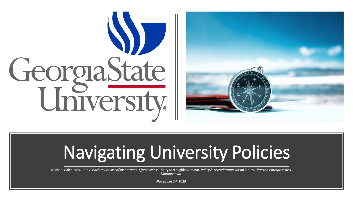



# Navigating University Policies

Michael Galchinsky, PhD, *Associate Provost of Institutional Effectiveness* Mary McLaughlin *Director, Policy & Accreditation* Susan Ridley*, Director, Enterprise Risk Management*

*November 14, 2019*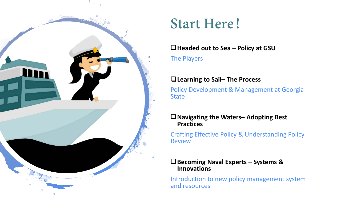

### **Start Here!**

#### **Headed out to Sea – Policy at GSU**

The Players

#### **Learning to Sail– The Process**

Policy Development & Management at Georgia **State** 

#### **Navigating the Waters– Adopting Best Practices**

Crafting Effective Policy & Understanding Policy **Review** 

#### **Becoming Naval Experts – Systems & Innovations**

Introduction to new policy management system and resources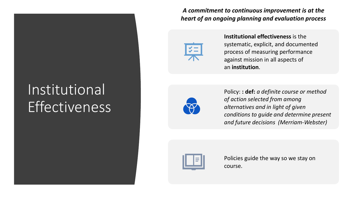### Institutional Effectiveness

*A commitment to continuous improvement is at the heart of an ongoing planning and evaluation process*



**Institutional effectiveness** is the systematic, explicit, and documented process of measuring performance against mission in all aspects of an **institution**.



Policy: **: def:** *a definite course or method of action selected from among alternatives and in light of given conditions to guide and determine present and future decisions (Merriam-Webster)*



Policies guide the way so we stay on course.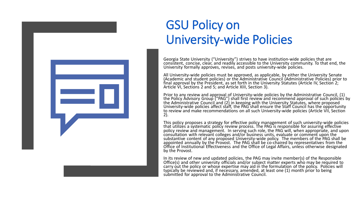

### GSU Policy on University-wide Policies

Georgia State University ("University") strives to have institution-wide policies that are consistent, concise, clear, and readily accessible to the University community. To that end, the University formally approves, revises, and posts university-wide policies.

All University-wide policies must be approved, as applicable, by either the University Senate (Academic and student policies) or the Administrative Council (Administrative Policies) prior to final approval by the President, as set forth in the University Statutes (Article IV, Section 2; Article VI, Sections 2 and 5; and Article XIII, Section 3).

Prior to any review and approval of University-wide policies by the Administrative Council, (1)<br>the Policy Advisory Group ("PAG") shall first review and recommend approval of such policies by the Administrative Council and (2) in keeping with the University Statutes, where proposed University-wide policies affect staff, the PAG shall ensure the Staff Council has the opportunity to review and make recommendations on all such University-wide policies (Article VII, Section<br>2).

This policy proposes a strategy for effective policy management of such university-wide policies that utilizes a systematic policy review process. The PAG is responsible for assuring effective policy review and management. In serving such role, the PAG will, when appropriate, and upon consultation with relevant colleges and/or business units, evaluate or comment upon the substantive content of any proposed University-wide policy. The members of the PAG shall be appointed annually by the Provost. The PAG shall be co-chaired by representatives from the Office of Institutional Effectiveness a by the Provost.

In its review of new and updated policies, the PAG may invite member(s) of the Responsible Office(s) and other university officials and/or subject matter experts who may be required to carry out the policy or whose expertise may aid in the formulation of the policy. Policies will typically be reviewed and, if necessary, amended, at least one (1) month prior to being submitted for approval to the Administrative Council.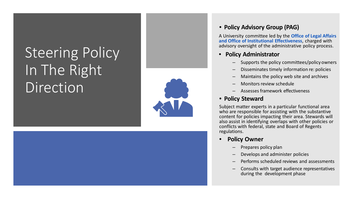## Steering Policy In The Right Direction



#### • **Policy Advisory Group (PAG)**

A University committee led by the **Office of Legal Affairs and Office of Institutional Effectiveness**, charged with advisory oversight of the administrative policy process.

#### • **Policy Administrator**

- Supports the policy committees/policy owners
- Disseminates timely information re: policies
- Maintains the policy web site and archives
- Monitors review schedule
- Assesses framework effectiveness

#### • **Policy Steward**

Subject matter experts in a particular functional area who are responsible for assisting with the substantive content for policies impacting their area. Stewards will also assist in identifying overlaps with other policies or conflicts with federal, state and Board of Regents regulations.

- **Policy Owner**
	- Prepares policy plan
	- Develops and administer policies
	- Performs scheduled reviews and assessments
	- Consults with target audience representatives during the development phase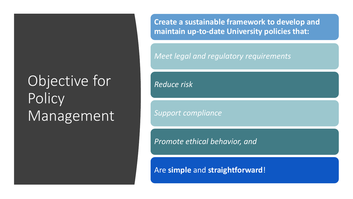## Objective for **Policy** Management

**Create a sustainable framework to develop and maintain up-to-date University policies that:** 

*Meet legal and regulatory requirements*

*Reduce risk*

*Support compliance*

*Promote ethical behavior, and* 

Are **simple** and **straightforward**!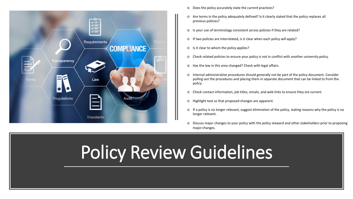

- o Does the policy accurately state the current practices?
- o Are terms in the policy adequately defined? Is it clearly stated that the policy replaces all previous policies?
- o Is your use of terminology consistent across policies if they are related?
- o If two policies are interrelated, is it clear when each policy will apply?
- o Is it clear to whom the policy applies?
- o Check related policies to ensure your policy is not in conflict with another university policy.
- o Has the law in this area changed? Check with legal affairs.
- o Internal administrative procedures should generally not be part of the policy document. Consider pulling out the procedures and placing them in separate document that can be linked to from the policy.
- o Check contact information, job titles, emails, and web links to ensure they are current.
- o Highlight text so that proposed changes are apparent.
- o If a policy is no longer relevant, suggest elimination of the policy, stating reasons why the policy is no longer relevant.
- o Discuss major changes to your policy with the policy steward and other stakeholders prior to proposing major changes.

# Policy Review Guidelines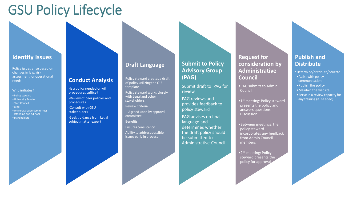### GSU Policy Lifecycle

#### **Identify Issues**

Policy issues arise based on changes in law, risk assessment, or operational needs

#### Who initiates?

- •Policy steward
- •University Senate
- •Staff Council
- •Legal
- •University-wide committees (standing and ad-hoc) •Stakeholders

### **Conduct Analysis**

-Is a policy needed or will procedures suffice? -Review of peer policies and procedures

-Consult with GSU stakeholders

-Seek guidance from Legal subject matter expert

#### **Draft Language**

Policy steward creates a draft of policy utilizing the OIE template

Policy steward works closely with Legal and other stakeholders

Review Criteria

– Agreed upon by approval committee

**Benefits** 

Ensures consistency Ability to address possible issues early in process

#### **Submit to Policy Advisory Group (PAG)**

Submit draft to PAG for review

PAG reviews and provides feedback to policy steward

PAG advises on final language and determines whether the draft policy should be submitted to Administrative Council **Request for consideration by Administrative Council** 

•PAG submits to Admin Council

- •1<sup>st</sup> meeting: Policy steward presents the policy and answers questions. Discussion.
- •Between meetings, the policy steward incorporates any feedback from Admin Council members

•2<sup>nd</sup> meeting: Policy steward presents the policy for approval

#### **Publish and Distribute**

•Determine/distribute/educate

- •Assist with policy communication
- •Publish the policy
- •Maintain the website
- •Serve in a review capacity for any training (if needed)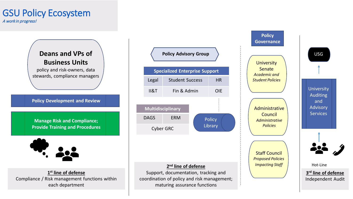### GSU Policy Ecosystem

A work in progress!



Legal Student Success HR II&T Fin & Admin OIE **Multidisciplinary** DAGS ERM Cyber GRC **Policy** Library

**Policy Advisory Group**

**Specialized Enterprise Support**

#### **2nd line of defense**

Support, documentation, tracking and coordination of policy and risk management; maturing assurance functions

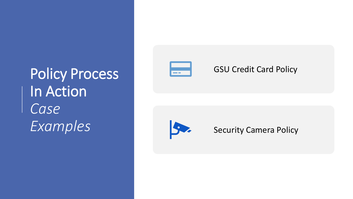Policy Process In Action *Case Examples*



### GSU Credit Card Policy



Security Camera Policy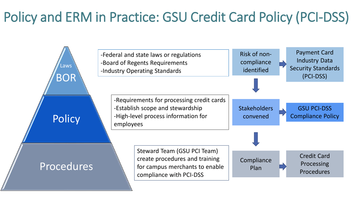### Policy and ERM in Practice: GSU Credit Card Policy (PCI-DSS)

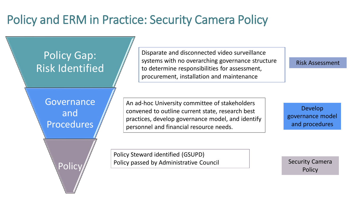### Policy and ERM in Practice: Security Camera Policy



Disparate and disconnected video surveillance systems with no overarching governance structure to determine responsibilities for assessment, procurement, installation and maintenance

Risk Assessment

An ad-hoc University committee of stakeholders convened to outline current state, research best practices, develop governance model, and identify personnel and financial resource needs.

Policy Steward identified (GSUPD)

Develop governance model and procedures

Policy passed by Administrative Council Fig. 2. [1] Security Camera

**Policy**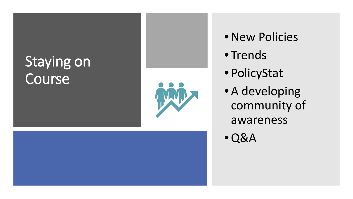## Staying on **Course**



- New Policies
- Trends
- PolicyStat
- A developing community of awareness

•Q&A